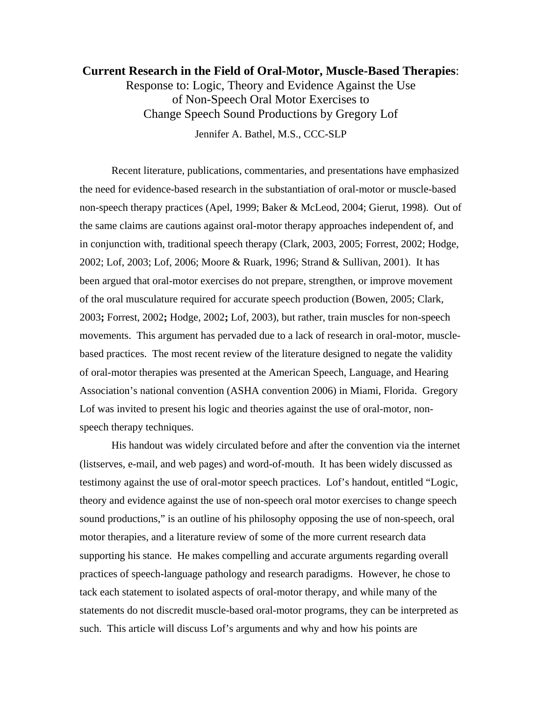# **Current Research in the Field of Oral-Motor, Muscle-Based Therapies**:

Response to: Logic, Theory and Evidence Against the Use of Non-Speech Oral Motor Exercises to Change Speech Sound Productions by Gregory Lof

Jennifer A. Bathel, M.S., CCC-SLP

Recent literature, publications, commentaries, and presentations have emphasized the need for evidence-based research in the substantiation of oral-motor or muscle-based non-speech therapy practices (Apel, 1999; Baker & McLeod, 2004; Gierut, 1998). Out of the same claims are cautions against oral-motor therapy approaches independent of, and in conjunction with, traditional speech therapy (Clark, 2003, 2005; Forrest, 2002; Hodge, 2002; Lof, 2003; Lof, 2006; Moore & Ruark, 1996; Strand & Sullivan, 2001). It has been argued that oral-motor exercises do not prepare, strengthen, or improve movement of the oral musculature required for accurate speech production (Bowen, 2005; Clark, 2003**;** Forrest, 2002**;** Hodge, 2002**;** Lof, 2003), but rather, train muscles for non-speech movements. This argument has pervaded due to a lack of research in oral-motor, musclebased practices. The most recent review of the literature designed to negate the validity of oral-motor therapies was presented at the American Speech, Language, and Hearing Association's national convention (ASHA convention 2006) in Miami, Florida. Gregory Lof was invited to present his logic and theories against the use of oral-motor, nonspeech therapy techniques.

His handout was widely circulated before and after the convention via the internet (listserves, e-mail, and web pages) and word-of-mouth. It has been widely discussed as testimony against the use of oral-motor speech practices. Lof's handout, entitled "Logic, theory and evidence against the use of non-speech oral motor exercises to change speech sound productions," is an outline of his philosophy opposing the use of non-speech, oral motor therapies, and a literature review of some of the more current research data supporting his stance. He makes compelling and accurate arguments regarding overall practices of speech-language pathology and research paradigms. However, he chose to tack each statement to isolated aspects of oral-motor therapy, and while many of the statements do not discredit muscle-based oral-motor programs, they can be interpreted as such. This article will discuss Lof's arguments and why and how his points are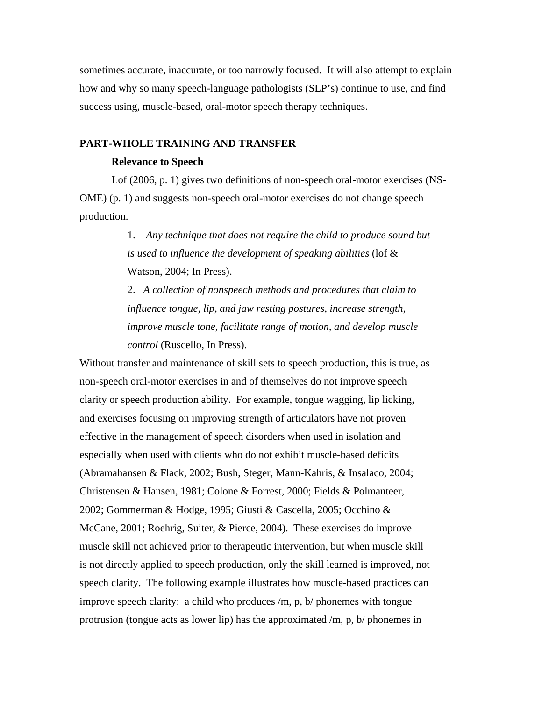sometimes accurate, inaccurate, or too narrowly focused. It will also attempt to explain how and why so many speech-language pathologists (SLP's) continue to use, and find success using, muscle-based, oral-motor speech therapy techniques.

### **PART-WHOLE TRAINING AND TRANSFER**

## **Relevance to Speech**

Lof (2006, p. 1) gives two definitions of non-speech oral-motor exercises (NS-OME) (p. 1) and suggests non-speech oral-motor exercises do not change speech production.

> 1. *Any technique that does not require the child to produce sound but is used to influence the development of speaking abilities* (lof & Watson, 2004; In Press).

2. *A collection of nonspeech methods and procedures that claim to influence tongue, lip, and jaw resting postures, increase strength, improve muscle tone, facilitate range of motion, and develop muscle control* (Ruscello, In Press).

Without transfer and maintenance of skill sets to speech production, this is true, as non-speech oral-motor exercises in and of themselves do not improve speech clarity or speech production ability. For example, tongue wagging, lip licking, and exercises focusing on improving strength of articulators have not proven effective in the management of speech disorders when used in isolation and especially when used with clients who do not exhibit muscle-based deficits (Abramahansen & Flack, 2002; Bush, Steger, Mann-Kahris, & Insalaco, 2004; Christensen & Hansen, 1981; Colone & Forrest, 2000; Fields & Polmanteer, 2002; Gommerman & Hodge, 1995; Giusti & Cascella, 2005; Occhino & McCane, 2001; Roehrig, Suiter, & Pierce, 2004). These exercises do improve muscle skill not achieved prior to therapeutic intervention, but when muscle skill is not directly applied to speech production, only the skill learned is improved, not speech clarity. The following example illustrates how muscle-based practices can improve speech clarity: a child who produces /m, p, b/ phonemes with tongue protrusion (tongue acts as lower lip) has the approximated /m, p, b/ phonemes in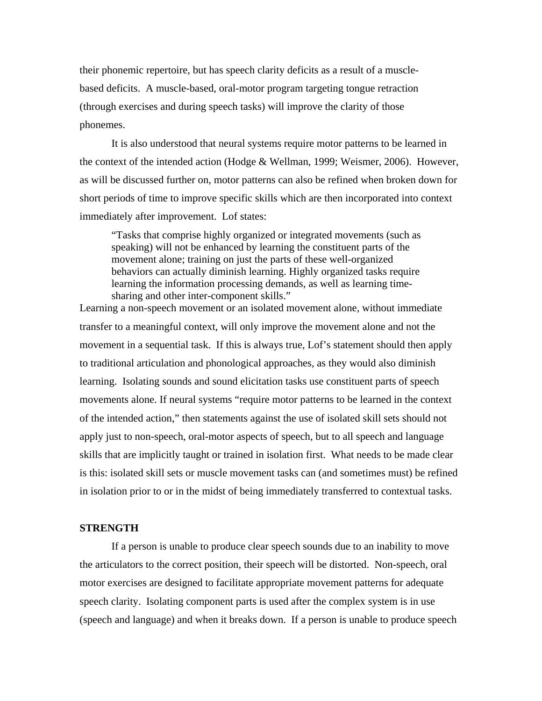their phonemic repertoire, but has speech clarity deficits as a result of a musclebased deficits. A muscle-based, oral-motor program targeting tongue retraction (through exercises and during speech tasks) will improve the clarity of those phonemes.

It is also understood that neural systems require motor patterns to be learned in the context of the intended action (Hodge & Wellman, 1999; Weismer, 2006). However, as will be discussed further on, motor patterns can also be refined when broken down for short periods of time to improve specific skills which are then incorporated into context immediately after improvement. Lof states:

"Tasks that comprise highly organized or integrated movements (such as speaking) will not be enhanced by learning the constituent parts of the movement alone; training on just the parts of these well-organized behaviors can actually diminish learning. Highly organized tasks require learning the information processing demands, as well as learning timesharing and other inter-component skills."

Learning a non-speech movement or an isolated movement alone, without immediate transfer to a meaningful context, will only improve the movement alone and not the movement in a sequential task. If this is always true, Lof's statement should then apply to traditional articulation and phonological approaches, as they would also diminish learning. Isolating sounds and sound elicitation tasks use constituent parts of speech movements alone. If neural systems "require motor patterns to be learned in the context of the intended action," then statements against the use of isolated skill sets should not apply just to non-speech, oral-motor aspects of speech, but to all speech and language skills that are implicitly taught or trained in isolation first. What needs to be made clear is this: isolated skill sets or muscle movement tasks can (and sometimes must) be refined in isolation prior to or in the midst of being immediately transferred to contextual tasks.

## **STRENGTH**

If a person is unable to produce clear speech sounds due to an inability to move the articulators to the correct position, their speech will be distorted. Non-speech, oral motor exercises are designed to facilitate appropriate movement patterns for adequate speech clarity. Isolating component parts is used after the complex system is in use (speech and language) and when it breaks down. If a person is unable to produce speech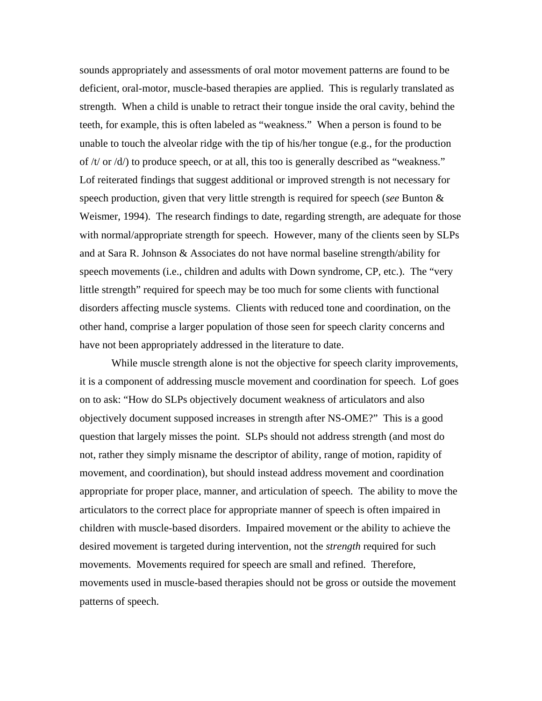sounds appropriately and assessments of oral motor movement patterns are found to be deficient, oral-motor, muscle-based therapies are applied. This is regularly translated as strength. When a child is unable to retract their tongue inside the oral cavity, behind the teeth, for example, this is often labeled as "weakness." When a person is found to be unable to touch the alveolar ridge with the tip of his/her tongue (e.g., for the production of  $/t$  or  $\frac{d}{dt}$  to produce speech, or at all, this too is generally described as "weakness." Lof reiterated findings that suggest additional or improved strength is not necessary for speech production, given that very little strength is required for speech (*see* Bunton & Weismer, 1994). The research findings to date, regarding strength, are adequate for those with normal/appropriate strength for speech. However, many of the clients seen by SLPs and at Sara R. Johnson & Associates do not have normal baseline strength/ability for speech movements (i.e., children and adults with Down syndrome, CP, etc.). The "very little strength" required for speech may be too much for some clients with functional disorders affecting muscle systems. Clients with reduced tone and coordination, on the other hand, comprise a larger population of those seen for speech clarity concerns and have not been appropriately addressed in the literature to date.

While muscle strength alone is not the objective for speech clarity improvements, it is a component of addressing muscle movement and coordination for speech. Lof goes on to ask: "How do SLPs objectively document weakness of articulators and also objectively document supposed increases in strength after NS-OME?" This is a good question that largely misses the point. SLPs should not address strength (and most do not, rather they simply misname the descriptor of ability, range of motion, rapidity of movement, and coordination), but should instead address movement and coordination appropriate for proper place, manner, and articulation of speech. The ability to move the articulators to the correct place for appropriate manner of speech is often impaired in children with muscle-based disorders. Impaired movement or the ability to achieve the desired movement is targeted during intervention, not the *strength* required for such movements. Movements required for speech are small and refined. Therefore, movements used in muscle-based therapies should not be gross or outside the movement patterns of speech.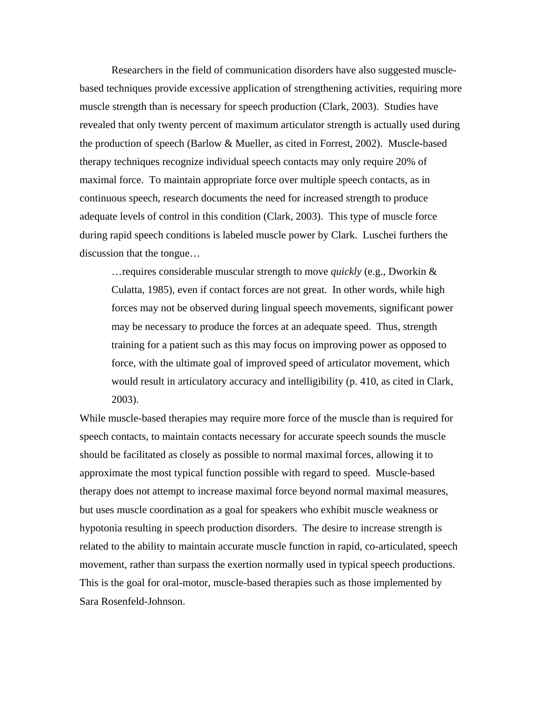Researchers in the field of communication disorders have also suggested musclebased techniques provide excessive application of strengthening activities, requiring more muscle strength than is necessary for speech production (Clark, 2003). Studies have revealed that only twenty percent of maximum articulator strength is actually used during the production of speech (Barlow & Mueller, as cited in Forrest, 2002). Muscle-based therapy techniques recognize individual speech contacts may only require 20% of maximal force. To maintain appropriate force over multiple speech contacts, as in continuous speech, research documents the need for increased strength to produce adequate levels of control in this condition (Clark, 2003). This type of muscle force during rapid speech conditions is labeled muscle power by Clark. Luschei furthers the discussion that the tongue…

…requires considerable muscular strength to move *quickly* (e.g., Dworkin & Culatta, 1985), even if contact forces are not great. In other words, while high forces may not be observed during lingual speech movements, significant power may be necessary to produce the forces at an adequate speed. Thus, strength training for a patient such as this may focus on improving power as opposed to force, with the ultimate goal of improved speed of articulator movement, which would result in articulatory accuracy and intelligibility (p. 410, as cited in Clark, 2003).

While muscle-based therapies may require more force of the muscle than is required for speech contacts, to maintain contacts necessary for accurate speech sounds the muscle should be facilitated as closely as possible to normal maximal forces, allowing it to approximate the most typical function possible with regard to speed. Muscle-based therapy does not attempt to increase maximal force beyond normal maximal measures, but uses muscle coordination as a goal for speakers who exhibit muscle weakness or hypotonia resulting in speech production disorders. The desire to increase strength is related to the ability to maintain accurate muscle function in rapid, co-articulated, speech movement, rather than surpass the exertion normally used in typical speech productions. This is the goal for oral-motor, muscle-based therapies such as those implemented by Sara Rosenfeld-Johnson.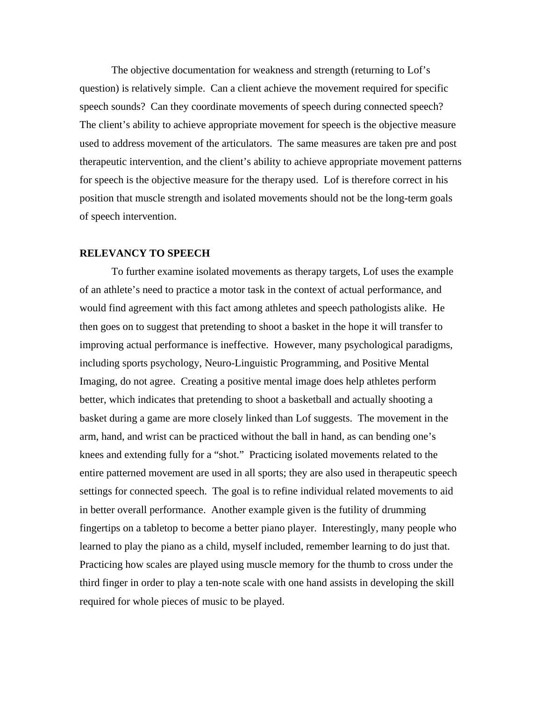The objective documentation for weakness and strength (returning to Lof's question) is relatively simple. Can a client achieve the movement required for specific speech sounds? Can they coordinate movements of speech during connected speech? The client's ability to achieve appropriate movement for speech is the objective measure used to address movement of the articulators. The same measures are taken pre and post therapeutic intervention, and the client's ability to achieve appropriate movement patterns for speech is the objective measure for the therapy used. Lof is therefore correct in his position that muscle strength and isolated movements should not be the long-term goals of speech intervention.

#### **RELEVANCY TO SPEECH**

To further examine isolated movements as therapy targets, Lof uses the example of an athlete's need to practice a motor task in the context of actual performance, and would find agreement with this fact among athletes and speech pathologists alike. He then goes on to suggest that pretending to shoot a basket in the hope it will transfer to improving actual performance is ineffective. However, many psychological paradigms, including sports psychology, Neuro-Linguistic Programming, and Positive Mental Imaging, do not agree. Creating a positive mental image does help athletes perform better, which indicates that pretending to shoot a basketball and actually shooting a basket during a game are more closely linked than Lof suggests. The movement in the arm, hand, and wrist can be practiced without the ball in hand, as can bending one's knees and extending fully for a "shot." Practicing isolated movements related to the entire patterned movement are used in all sports; they are also used in therapeutic speech settings for connected speech. The goal is to refine individual related movements to aid in better overall performance. Another example given is the futility of drumming fingertips on a tabletop to become a better piano player. Interestingly, many people who learned to play the piano as a child, myself included, remember learning to do just that. Practicing how scales are played using muscle memory for the thumb to cross under the third finger in order to play a ten-note scale with one hand assists in developing the skill required for whole pieces of music to be played.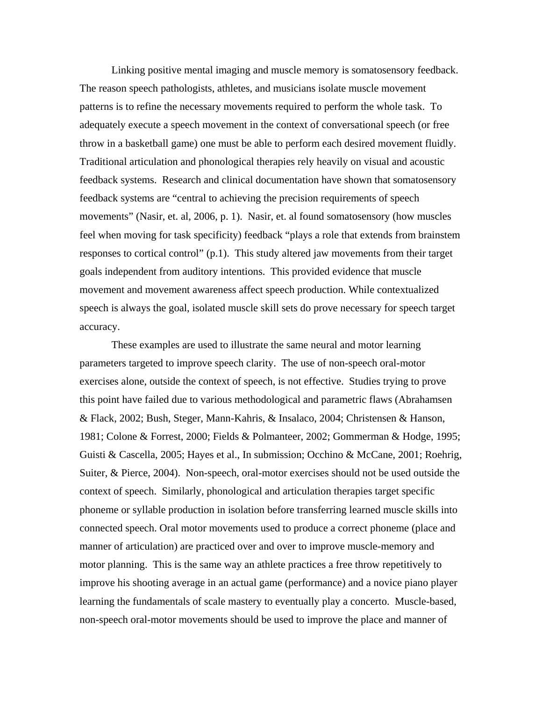Linking positive mental imaging and muscle memory is somatosensory feedback. The reason speech pathologists, athletes, and musicians isolate muscle movement patterns is to refine the necessary movements required to perform the whole task. To adequately execute a speech movement in the context of conversational speech (or free throw in a basketball game) one must be able to perform each desired movement fluidly. Traditional articulation and phonological therapies rely heavily on visual and acoustic feedback systems. Research and clinical documentation have shown that somatosensory feedback systems are "central to achieving the precision requirements of speech movements" (Nasir, et. al, 2006, p. 1). Nasir, et. al found somatosensory (how muscles feel when moving for task specificity) feedback "plays a role that extends from brainstem responses to cortical control" (p.1). This study altered jaw movements from their target goals independent from auditory intentions. This provided evidence that muscle movement and movement awareness affect speech production. While contextualized speech is always the goal, isolated muscle skill sets do prove necessary for speech target accuracy.

These examples are used to illustrate the same neural and motor learning parameters targeted to improve speech clarity. The use of non-speech oral-motor exercises alone, outside the context of speech, is not effective. Studies trying to prove this point have failed due to various methodological and parametric flaws (Abrahamsen & Flack, 2002; Bush, Steger, Mann-Kahris, & Insalaco, 2004; Christensen & Hanson, 1981; Colone & Forrest, 2000; Fields & Polmanteer, 2002; Gommerman & Hodge, 1995; Guisti & Cascella, 2005; Hayes et al., In submission; Occhino & McCane, 2001; Roehrig, Suiter, & Pierce, 2004). Non-speech, oral-motor exercises should not be used outside the context of speech. Similarly, phonological and articulation therapies target specific phoneme or syllable production in isolation before transferring learned muscle skills into connected speech. Oral motor movements used to produce a correct phoneme (place and manner of articulation) are practiced over and over to improve muscle-memory and motor planning. This is the same way an athlete practices a free throw repetitively to improve his shooting average in an actual game (performance) and a novice piano player learning the fundamentals of scale mastery to eventually play a concerto. Muscle-based, non-speech oral-motor movements should be used to improve the place and manner of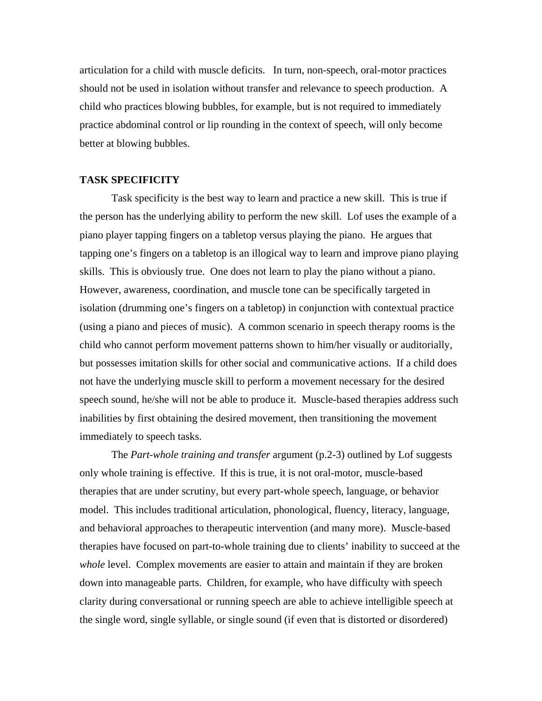articulation for a child with muscle deficits. In turn, non-speech, oral-motor practices should not be used in isolation without transfer and relevance to speech production. A child who practices blowing bubbles, for example, but is not required to immediately practice abdominal control or lip rounding in the context of speech, will only become better at blowing bubbles.

## **TASK SPECIFICITY**

Task specificity is the best way to learn and practice a new skill. This is true if the person has the underlying ability to perform the new skill. Lof uses the example of a piano player tapping fingers on a tabletop versus playing the piano. He argues that tapping one's fingers on a tabletop is an illogical way to learn and improve piano playing skills. This is obviously true. One does not learn to play the piano without a piano. However, awareness, coordination, and muscle tone can be specifically targeted in isolation (drumming one's fingers on a tabletop) in conjunction with contextual practice (using a piano and pieces of music). A common scenario in speech therapy rooms is the child who cannot perform movement patterns shown to him/her visually or auditorially, but possesses imitation skills for other social and communicative actions. If a child does not have the underlying muscle skill to perform a movement necessary for the desired speech sound, he/she will not be able to produce it. Muscle-based therapies address such inabilities by first obtaining the desired movement, then transitioning the movement immediately to speech tasks.

The *Part-whole training and transfer* argument (p.2-3) outlined by Lof suggests only whole training is effective. If this is true, it is not oral-motor, muscle-based therapies that are under scrutiny, but every part-whole speech, language, or behavior model. This includes traditional articulation, phonological, fluency, literacy, language, and behavioral approaches to therapeutic intervention (and many more). Muscle-based therapies have focused on part-to-whole training due to clients' inability to succeed at the *whole* level. Complex movements are easier to attain and maintain if they are broken down into manageable parts. Children, for example, who have difficulty with speech clarity during conversational or running speech are able to achieve intelligible speech at the single word, single syllable, or single sound (if even that is distorted or disordered)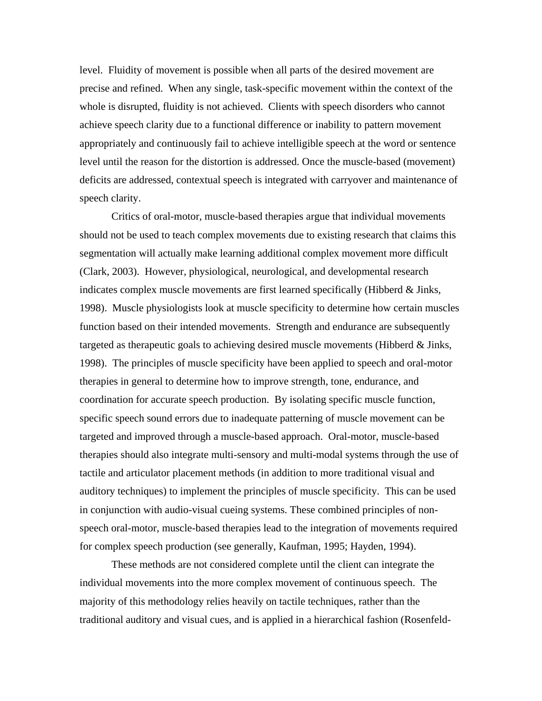level. Fluidity of movement is possible when all parts of the desired movement are precise and refined. When any single, task-specific movement within the context of the whole is disrupted, fluidity is not achieved. Clients with speech disorders who cannot achieve speech clarity due to a functional difference or inability to pattern movement appropriately and continuously fail to achieve intelligible speech at the word or sentence level until the reason for the distortion is addressed. Once the muscle-based (movement) deficits are addressed, contextual speech is integrated with carryover and maintenance of speech clarity.

Critics of oral-motor, muscle-based therapies argue that individual movements should not be used to teach complex movements due to existing research that claims this segmentation will actually make learning additional complex movement more difficult (Clark, 2003). However, physiological, neurological, and developmental research indicates complex muscle movements are first learned specifically (Hibberd & Jinks, 1998). Muscle physiologists look at muscle specificity to determine how certain muscles function based on their intended movements. Strength and endurance are subsequently targeted as therapeutic goals to achieving desired muscle movements (Hibberd & Jinks, 1998). The principles of muscle specificity have been applied to speech and oral-motor therapies in general to determine how to improve strength, tone, endurance, and coordination for accurate speech production. By isolating specific muscle function, specific speech sound errors due to inadequate patterning of muscle movement can be targeted and improved through a muscle-based approach. Oral-motor, muscle-based therapies should also integrate multi-sensory and multi-modal systems through the use of tactile and articulator placement methods (in addition to more traditional visual and auditory techniques) to implement the principles of muscle specificity. This can be used in conjunction with audio-visual cueing systems. These combined principles of nonspeech oral-motor, muscle-based therapies lead to the integration of movements required for complex speech production (see generally, Kaufman, 1995; Hayden, 1994).

These methods are not considered complete until the client can integrate the individual movements into the more complex movement of continuous speech. The majority of this methodology relies heavily on tactile techniques, rather than the traditional auditory and visual cues, and is applied in a hierarchical fashion (Rosenfeld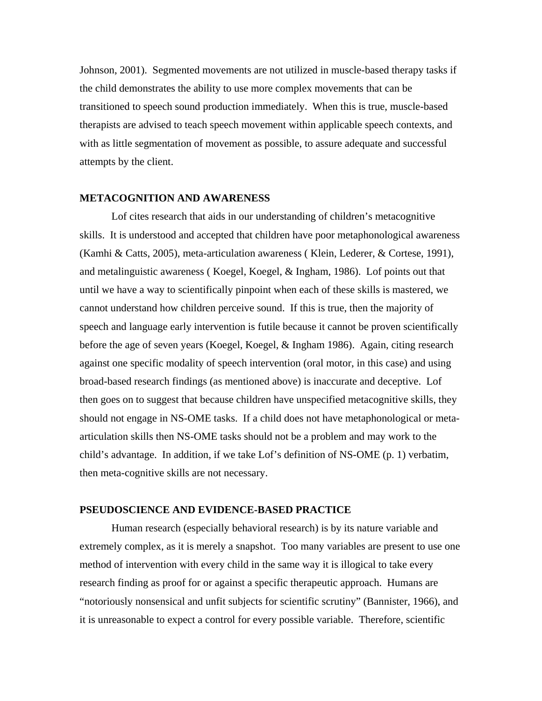Johnson, 2001). Segmented movements are not utilized in muscle-based therapy tasks if the child demonstrates the ability to use more complex movements that can be transitioned to speech sound production immediately. When this is true, muscle-based therapists are advised to teach speech movement within applicable speech contexts, and with as little segmentation of movement as possible, to assure adequate and successful attempts by the client.

#### **METACOGNITION AND AWARENESS**

Lof cites research that aids in our understanding of children's metacognitive skills. It is understood and accepted that children have poor metaphonological awareness (Kamhi & Catts, 2005), meta-articulation awareness ( Klein, Lederer, & Cortese, 1991), and metalinguistic awareness ( Koegel, Koegel, & Ingham, 1986). Lof points out that until we have a way to scientifically pinpoint when each of these skills is mastered, we cannot understand how children perceive sound. If this is true, then the majority of speech and language early intervention is futile because it cannot be proven scientifically before the age of seven years (Koegel, Koegel, & Ingham 1986). Again, citing research against one specific modality of speech intervention (oral motor, in this case) and using broad-based research findings (as mentioned above) is inaccurate and deceptive. Lof then goes on to suggest that because children have unspecified metacognitive skills, they should not engage in NS-OME tasks. If a child does not have metaphonological or metaarticulation skills then NS-OME tasks should not be a problem and may work to the child's advantage. In addition, if we take Lof's definition of NS-OME (p. 1) verbatim, then meta-cognitive skills are not necessary.

### **PSEUDOSCIENCE AND EVIDENCE-BASED PRACTICE**

Human research (especially behavioral research) is by its nature variable and extremely complex, as it is merely a snapshot. Too many variables are present to use one method of intervention with every child in the same way it is illogical to take every research finding as proof for or against a specific therapeutic approach. Humans are "notoriously nonsensical and unfit subjects for scientific scrutiny" (Bannister, 1966), and it is unreasonable to expect a control for every possible variable. Therefore, scientific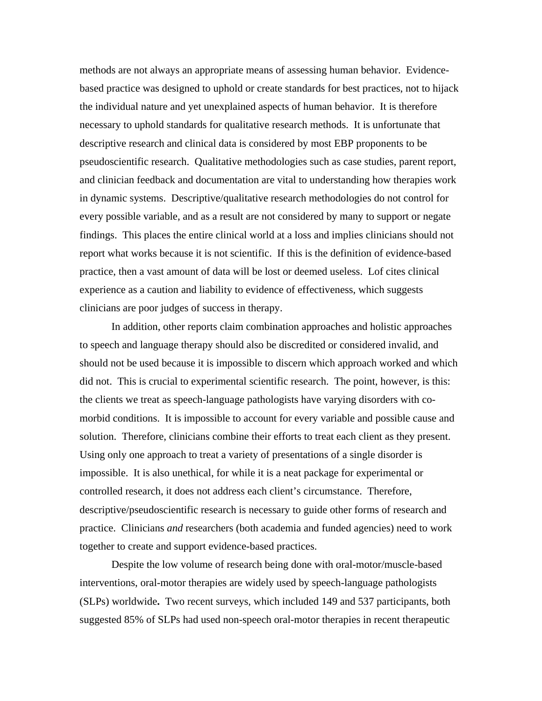methods are not always an appropriate means of assessing human behavior. Evidencebased practice was designed to uphold or create standards for best practices, not to hijack the individual nature and yet unexplained aspects of human behavior. It is therefore necessary to uphold standards for qualitative research methods. It is unfortunate that descriptive research and clinical data is considered by most EBP proponents to be pseudoscientific research. Qualitative methodologies such as case studies, parent report, and clinician feedback and documentation are vital to understanding how therapies work in dynamic systems. Descriptive/qualitative research methodologies do not control for every possible variable, and as a result are not considered by many to support or negate findings. This places the entire clinical world at a loss and implies clinicians should not report what works because it is not scientific. If this is the definition of evidence-based practice, then a vast amount of data will be lost or deemed useless. Lof cites clinical experience as a caution and liability to evidence of effectiveness, which suggests clinicians are poor judges of success in therapy.

In addition, other reports claim combination approaches and holistic approaches to speech and language therapy should also be discredited or considered invalid, and should not be used because it is impossible to discern which approach worked and which did not. This is crucial to experimental scientific research. The point, however, is this: the clients we treat as speech-language pathologists have varying disorders with comorbid conditions. It is impossible to account for every variable and possible cause and solution. Therefore, clinicians combine their efforts to treat each client as they present. Using only one approach to treat a variety of presentations of a single disorder is impossible. It is also unethical, for while it is a neat package for experimental or controlled research, it does not address each client's circumstance. Therefore, descriptive/pseudoscientific research is necessary to guide other forms of research and practice. Clinicians *and* researchers (both academia and funded agencies) need to work together to create and support evidence-based practices.

Despite the low volume of research being done with oral-motor/muscle-based interventions, oral-motor therapies are widely used by speech-language pathologists (SLPs) worldwide**.** Two recent surveys, which included 149 and 537 participants, both suggested 85% of SLPs had used non-speech oral-motor therapies in recent therapeutic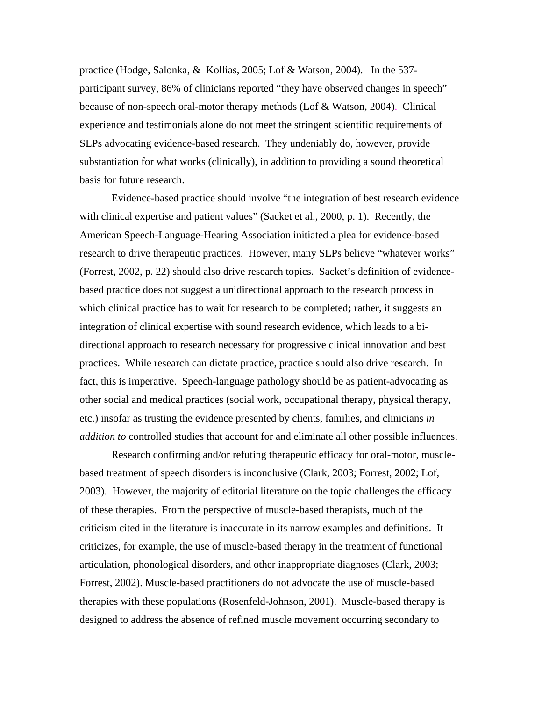practice (Hodge, Salonka, & Kollias, 2005; Lof & Watson, 2004). In the 537 participant survey, 86% of clinicians reported "they have observed changes in speech" because of non-speech oral-motor therapy methods (Lof & Watson, 2004). Clinical experience and testimonials alone do not meet the stringent scientific requirements of SLPs advocating evidence-based research. They undeniably do, however, provide substantiation for what works (clinically), in addition to providing a sound theoretical basis for future research.

Evidence-based practice should involve "the integration of best research evidence with clinical expertise and patient values" (Sacket et al., 2000, p. 1). Recently, the American Speech-Language-Hearing Association initiated a plea for evidence-based research to drive therapeutic practices. However, many SLPs believe "whatever works" (Forrest, 2002, p. 22) should also drive research topics. Sacket's definition of evidencebased practice does not suggest a unidirectional approach to the research process in which clinical practice has to wait for research to be completed**;** rather, it suggests an integration of clinical expertise with sound research evidence, which leads to a bidirectional approach to research necessary for progressive clinical innovation and best practices. While research can dictate practice, practice should also drive research. In fact, this is imperative. Speech-language pathology should be as patient-advocating as other social and medical practices (social work, occupational therapy, physical therapy, etc.) insofar as trusting the evidence presented by clients, families, and clinicians *in addition to* controlled studies that account for and eliminate all other possible influences.

Research confirming and/or refuting therapeutic efficacy for oral-motor, musclebased treatment of speech disorders is inconclusive (Clark, 2003; Forrest, 2002; Lof, 2003). However, the majority of editorial literature on the topic challenges the efficacy of these therapies. From the perspective of muscle-based therapists, much of the criticism cited in the literature is inaccurate in its narrow examples and definitions. It criticizes, for example, the use of muscle-based therapy in the treatment of functional articulation, phonological disorders, and other inappropriate diagnoses (Clark, 2003; Forrest, 2002). Muscle-based practitioners do not advocate the use of muscle-based therapies with these populations (Rosenfeld-Johnson, 2001). Muscle-based therapy is designed to address the absence of refined muscle movement occurring secondary to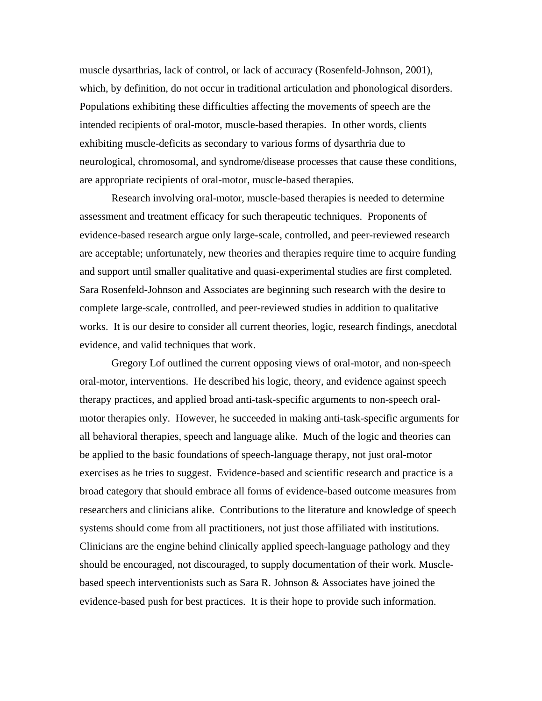muscle dysarthrias, lack of control, or lack of accuracy (Rosenfeld-Johnson, 2001), which, by definition, do not occur in traditional articulation and phonological disorders. Populations exhibiting these difficulties affecting the movements of speech are the intended recipients of oral-motor, muscle-based therapies. In other words, clients exhibiting muscle-deficits as secondary to various forms of dysarthria due to neurological, chromosomal, and syndrome/disease processes that cause these conditions, are appropriate recipients of oral-motor, muscle-based therapies.

 Research involving oral-motor, muscle-based therapies is needed to determine assessment and treatment efficacy for such therapeutic techniques. Proponents of evidence-based research argue only large-scale, controlled, and peer-reviewed research are acceptable; unfortunately, new theories and therapies require time to acquire funding and support until smaller qualitative and quasi-experimental studies are first completed. Sara Rosenfeld-Johnson and Associates are beginning such research with the desire to complete large-scale, controlled, and peer-reviewed studies in addition to qualitative works. It is our desire to consider all current theories, logic, research findings, anecdotal evidence, and valid techniques that work.

 Gregory Lof outlined the current opposing views of oral-motor, and non-speech oral-motor, interventions. He described his logic, theory, and evidence against speech therapy practices, and applied broad anti-task-specific arguments to non-speech oralmotor therapies only. However, he succeeded in making anti-task-specific arguments for all behavioral therapies, speech and language alike. Much of the logic and theories can be applied to the basic foundations of speech-language therapy, not just oral-motor exercises as he tries to suggest. Evidence-based and scientific research and practice is a broad category that should embrace all forms of evidence-based outcome measures from researchers and clinicians alike. Contributions to the literature and knowledge of speech systems should come from all practitioners, not just those affiliated with institutions. Clinicians are the engine behind clinically applied speech-language pathology and they should be encouraged, not discouraged, to supply documentation of their work. Musclebased speech interventionists such as Sara R. Johnson & Associates have joined the evidence-based push for best practices. It is their hope to provide such information.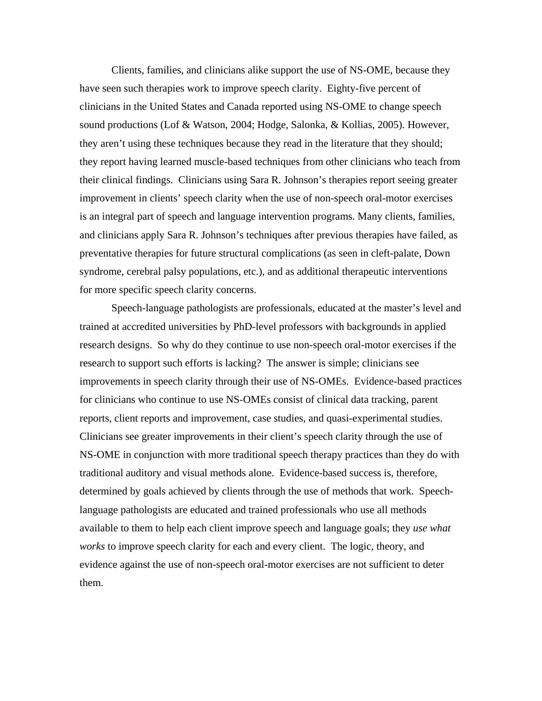Clients, families, and clinicians alike support the use of NS-OME, because they have seen such therapies work to improve speech clarity. Eighty-five percent of clinicians in the United States and Canada reported using NS-OME to change speech sound productions (Lof & Watson, 2004; Hodge, Salonka, & Kollias, 2005). However, they aren't using these techniques because they read in the literature that they should; they report having learned muscle-based techniques from other clinicians who teach from their clinical findings. Clinicians using Sara R. Johnson's therapies report seeing greater improvement in clients' speech clarity when the use of non-speech oral-motor exercises is an integral part of speech and language intervention programs. Many clients, families, and clinicians apply Sara R. Johnson's techniques after previous therapies have failed, as preventative therapies for future structural complications (as seen in cleft-palate, Down syndrome, cerebral palsy populations, etc.), and as additional therapeutic interventions for more specific speech clarity concerns.

 Speech-language pathologists are professionals, educated at the master's level and trained at accredited universities by PhD-level professors with backgrounds in applied research designs. So why do they continue to use non-speech oral-motor exercises if the research to support such efforts is lacking? The answer is simple; clinicians see improvements in speech clarity through their use of NS-OMEs. Evidence-based practices for clinicians who continue to use NS-OMEs consist of clinical data tracking, parent reports, client reports and improvement, case studies, and quasi-experimental studies. Clinicians see greater improvements in their client's speech clarity through the use of NS-OME in conjunction with more traditional speech therapy practices than they do with traditional auditory and visual methods alone. Evidence-based success is, therefore, determined by goals achieved by clients through the use of methods that work. Speechlanguage pathologists are educated and trained professionals who use all methods available to them to help each client improve speech and language goals; they *use what works* to improve speech clarity for each and every client. The logic, theory, and evidence against the use of non-speech oral-motor exercises are not sufficient to deter them.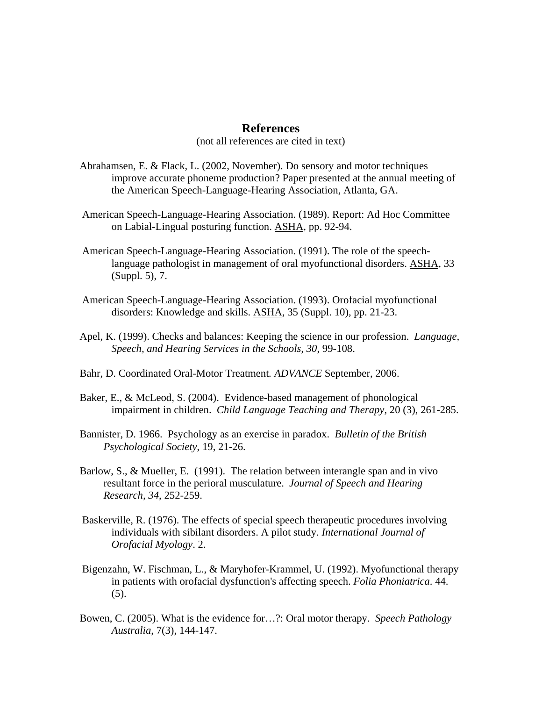## **References**

(not all references are cited in text)

- Abrahamsen, E. & Flack, L. (2002, November). Do sensory and motor techniques improve accurate phoneme production? Paper presented at the annual meeting of the American Speech-Language-Hearing Association, Atlanta, GA.
- American Speech-Language-Hearing Association. (1989). Report: Ad Hoc Committee on Labial-Lingual posturing function. ASHA, pp. 92-94.
- American Speech-Language-Hearing Association. (1991). The role of the speechlanguage pathologist in management of oral myofunctional disorders. ASHA, 33 (Suppl. 5), 7.
- American Speech-Language-Hearing Association. (1993). Orofacial myofunctional disorders: Knowledge and skills. ASHA, 35 (Suppl. 10), pp. 21-23.
- Apel, K. (1999). Checks and balances: Keeping the science in our profession. *Language, Speech, and Hearing Services in the Schools, 30*, 99-108.
- Bahr, D. Coordinated Oral-Motor Treatment*. ADVANCE* September, 2006.
- Baker, E., & McLeod, S. (2004). Evidence-based management of phonological impairment in children. *Child Language Teaching and Therapy*, 20 (3), 261-285.
- Bannister, D. 1966. Psychology as an exercise in paradox. *Bulletin of the British Psychological Society*, 19, 21-26.
- Barlow, S., & Mueller, E. (1991). The relation between interangle span and in vivo resultant force in the perioral musculature. *Journal of Speech and Hearing Research, 34*, 252-259.
- Baskerville, R. (1976). The effects of special speech therapeutic procedures involving individuals with sibilant disorders. A pilot study. *International Journal of Orofacial Myology*. 2.
- Bigenzahn, W. Fischman, L., & Maryhofer-Krammel, U. (1992). Myofunctional therapy in patients with orofacial dysfunction's affecting speech. *Folia Phoniatrica*. 44. (5).
- Bowen, C. (2005). What is the evidence for…?: Oral motor therapy. *Speech Pathology Australia*, 7(3), 144-147.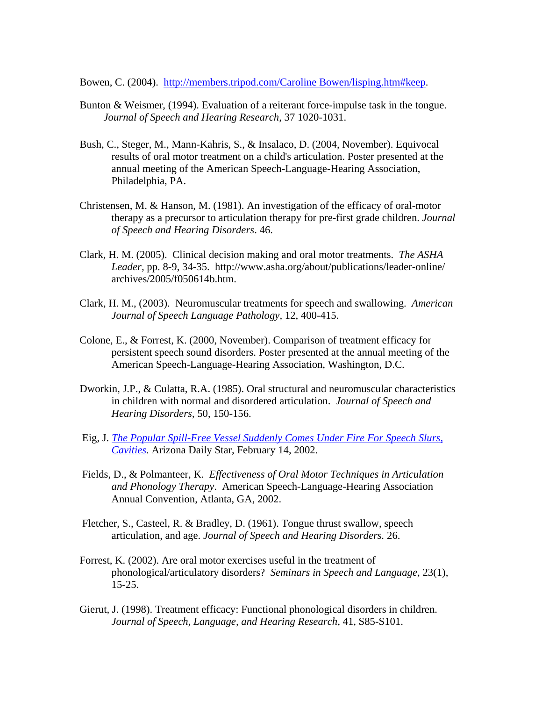Bowen, C. (2004). http://members.tripod.com/Caroline Bowen/lisping.htm#keep.

- Bunton & Weismer, (1994). Evaluation of a reiterant force-impulse task in the tongue. *Journal of Speech and Hearing Research*, 37 1020-1031.
- Bush, C., Steger, M., Mann-Kahris, S., & Insalaco, D. (2004, November). Equivocal results of oral motor treatment on a child's articulation. Poster presented at the annual meeting of the American Speech-Language-Hearing Association, Philadelphia, PA.
- Christensen, M. & Hanson, M. (1981). An investigation of the efficacy of oral-motor therapy as a precursor to articulation therapy for pre-first grade children. *Journal of Speech and Hearing Disorders*. 46.
- Clark, H. M. (2005). Clinical decision making and oral motor treatments. *The ASHA Leader,* pp. 8-9, 34-35. http://www.asha.org/about/publications/leader-online/ archives/2005/f050614b.htm.
- Clark, H. M., (2003). Neuromuscular treatments for speech and swallowing. *American Journal of Speech Language Pathology,* 12, 400-415.
- Colone, E., & Forrest, K. (2000, November). Comparison of treatment efficacy for persistent speech sound disorders. Poster presented at the annual meeting of the American Speech-Language-Hearing Association, Washington, D.C.
- Dworkin, J.P., & Culatta, R.A. (1985). Oral structural and neuromuscular characteristics in children with normal and disordered articulation. *Journal of Speech and Hearing Disorders*, 50, 150-156.
- Eig, J. *The Popular Spill-Free Vessel Suddenly Comes Under Fire For Speech Slurs, Cavities.* Arizona Daily Star, February 14, 2002.
- Fields, D., & Polmanteer, K. *Effectiveness of Oral Motor Techniques in Articulation and Phonology Therapy*. American Speech-Language-Hearing Association Annual Convention, Atlanta, GA, 2002.
- Fletcher, S., Casteel, R. & Bradley, D. (1961). Tongue thrust swallow, speech articulation, and age. *Journal of Speech and Hearing Disorders.* 26.
- Forrest, K. (2002). Are oral motor exercises useful in the treatment of phonological/articulatory disorders? *Seminars in Speech and Language*, 23(1), 15-25.
- Gierut, J. (1998). Treatment efficacy: Functional phonological disorders in children. *Journal of Speech, Language, and Hearing Research,* 41, S85-S101.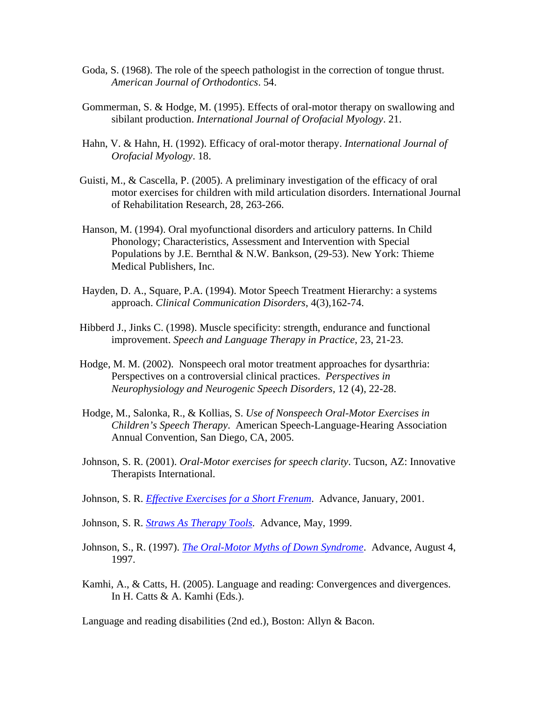- Goda, S. (1968). The role of the speech pathologist in the correction of tongue thrust. *American Journal of Orthodontics*. 54.
- Gommerman, S. & Hodge, M. (1995). Effects of oral-motor therapy on swallowing and sibilant production. *International Journal of Orofacial Myology*. 21.
- Hahn, V. & Hahn, H. (1992). Efficacy of oral-motor therapy. *International Journal of Orofacial Myology*. 18.
- Guisti, M., & Cascella, P. (2005). A preliminary investigation of the efficacy of oral motor exercises for children with mild articulation disorders. International Journal of Rehabilitation Research, 28, 263-266.
- Hanson, M. (1994). Oral myofunctional disorders and articulory patterns. In Child Phonology; Characteristics, Assessment and Intervention with Special Populations by J.E. Bernthal & N.W. Bankson, (29-53). New York: Thieme Medical Publishers, Inc.
- Hayden, D. A., Square, P.A. (1994). Motor Speech Treatment Hierarchy: a systems approach. *Clinical Communication Disorders*, 4(3),162-74.
- Hibberd J., Jinks C. (1998). Muscle specificity: strength, endurance and functional improvement. *Speech and Language Therapy in Practice*, 23, 21-23.
- Hodge, M. M. (2002). Nonspeech oral motor treatment approaches for dysarthria: Perspectives on a controversial clinical practices. *Perspectives in Neurophysiology and Neurogenic Speech Disorders,* 12 (4), 22-28.
- Hodge, M., Salonka, R., & Kollias, S. *Use of Nonspeech Oral-Motor Exercises in Children's Speech Therapy*. American Speech-Language-Hearing Association Annual Convention, San Diego, CA, 2005.
- Johnson, S. R. (2001). *Oral-Motor exercises for speech clarity*. Tucson, AZ: Innovative Therapists International.

Johnson, S. R. *Effective Exercises for a Short Frenum*. Advance, January, 2001.

- Johnson, S. R. *Straws As Therapy Tools.* Advance, May, 1999.
- Johnson, S., R. (1997). *The Oral-Motor Myths of Down Syndrome*. Advance, August 4, 1997.
- Kamhi, A., & Catts, H. (2005). Language and reading: Convergences and divergences. In H. Catts & A. Kamhi (Eds.).

Language and reading disabilities (2nd ed.), Boston: Allyn & Bacon.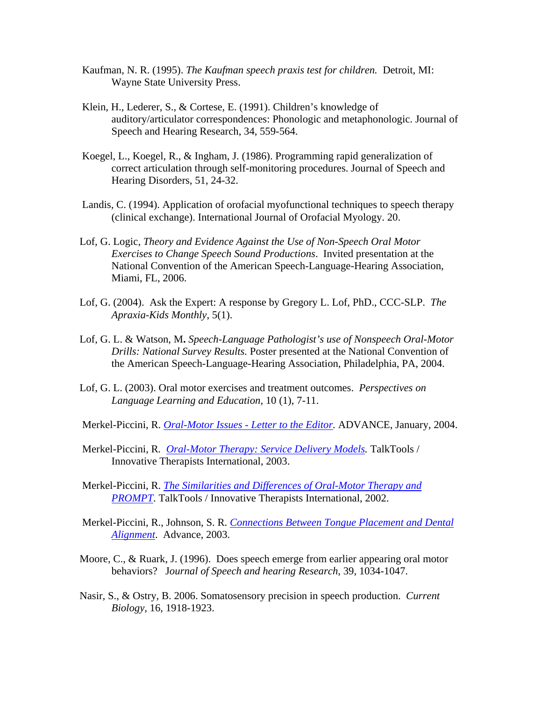- Kaufman, N. R. (1995). *The Kaufman speech praxis test for children.* Detroit, MI: Wayne State University Press.
- Klein, H., Lederer, S., & Cortese, E. (1991). Children's knowledge of auditory/articulator correspondences: Phonologic and metaphonologic. Journal of Speech and Hearing Research, 34, 559-564.
- Koegel, L., Koegel, R., & Ingham, J. (1986). Programming rapid generalization of correct articulation through self-monitoring procedures. Journal of Speech and Hearing Disorders, 51, 24-32.
- Landis, C. (1994). Application of orofacial myofunctional techniques to speech therapy (clinical exchange). International Journal of Orofacial Myology. 20.
- Lof, G. Logic, *Theory and Evidence Against the Use of Non-Speech Oral Motor Exercises to Change Speech Sound Productions*. Invited presentation at the National Convention of the American Speech-Language-Hearing Association, Miami, FL, 2006.
- Lof, G. (2004). Ask the Expert: A response by Gregory L. Lof, PhD., CCC-SLP. *The Apraxia-Kids Monthly*, 5(1).
- Lof, G. L. & Watson, M**.** *Speech-Language Pathologist's use of Nonspeech Oral-Motor Drills: National Survey Results.* Poster presented at the National Convention of the American Speech-Language-Hearing Association, Philadelphia, PA, 2004.
- Lof, G. L. (2003). Oral motor exercises and treatment outcomes. *Perspectives on Language Learning and Education*, 10 (1), 7-11.
- Merkel-Piccini, R. *Oral-Motor Issues Letter to the Editor.* ADVANCE, January, 2004.
- Merkel-Piccini, R*. Oral-Motor Therapy: Service Delivery Models.* TalkTools / Innovative Therapists International, 2003.
- Merkel-Piccini, R. *The Similarities and Differences of Oral-Motor Therapy and PROMPT*. TalkTools / Innovative Therapists International, 2002.
- Merkel-Piccini, R., Johnson, S. R. *Connections Between Tongue Placement and Dental Alignment*. Advance, 2003.
- Moore, C., & Ruark, J. (1996). Does speech emerge from earlier appearing oral motor behaviors? J*ournal of Speech and hearing Research*, 39, 1034-1047.
- Nasir, S., & Ostry, B. 2006. Somatosensory precision in speech production. *Current Biology*, 16, 1918-1923.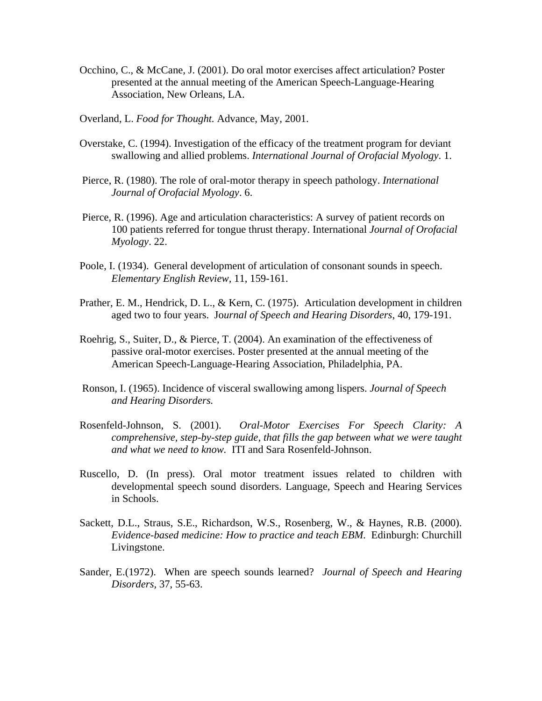- Occhino, C., & McCane, J. (2001). Do oral motor exercises affect articulation? Poster presented at the annual meeting of the American Speech-Language-Hearing Association, New Orleans, LA.
- Overland, L. *Food for Thought.* Advance, May, 2001.
- Overstake, C. (1994). Investigation of the efficacy of the treatment program for deviant swallowing and allied problems. *International Journal of Orofacial Myology*. 1.
- Pierce, R. (1980). The role of oral-motor therapy in speech pathology. *International Journal of Orofacial Myology*. 6.
- Pierce, R. (1996). Age and articulation characteristics: A survey of patient records on 100 patients referred for tongue thrust therapy. International *Journal of Orofacial Myology*. 22.
- Poole, I. (1934). General development of articulation of consonant sounds in speech. *Elementary English Review,* 11, 159-161.
- Prather, E. M., Hendrick, D. L., & Kern, C. (1975). Articulation development in children aged two to four years. Jo*urnal of Speech and Hearing Disorders*, 40, 179-191.
- Roehrig, S., Suiter, D., & Pierce, T. (2004). An examination of the effectiveness of passive oral-motor exercises. Poster presented at the annual meeting of the American Speech-Language-Hearing Association, Philadelphia, PA.
- Ronson, I. (1965). Incidence of visceral swallowing among lispers. *Journal of Speech and Hearing Disorders.*
- Rosenfeld-Johnson, S. (2001). *Oral-Motor Exercises For Speech Clarity: A comprehensive, step-by-step guide, that fills the gap between what we were taught and what we need to know.* ITI and Sara Rosenfeld-Johnson.
- Ruscello, D. (In press). Oral motor treatment issues related to children with developmental speech sound disorders. Language, Speech and Hearing Services in Schools.
- Sackett, D.L., Straus, S.E., Richardson, W.S., Rosenberg, W., & Haynes, R.B. (2000). *Evidence-based medicine: How to practice and teach EBM.* Edinburgh: Churchill Livingstone.
- Sander, E.(1972). When are speech sounds learned? *Journal of Speech and Hearing Disorders,* 37, 55-63.